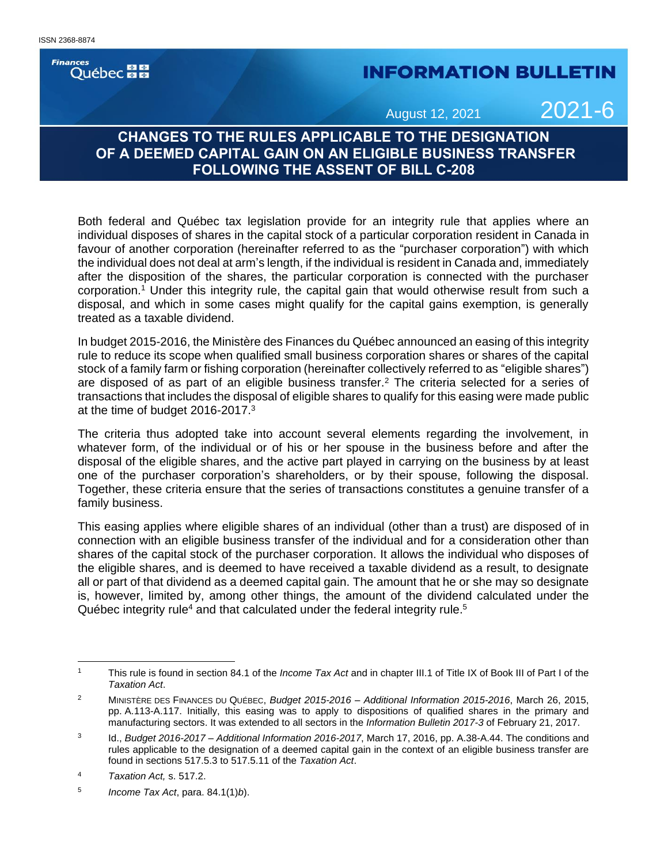**Finances Ouébec** 

## **INFORMATION BULLETIN**

August 12, 2021 2021-6

## **CHANGES TO THE RULES APPLICABLE TO THE DESIGNATION OF A DEEMED CAPITAL GAIN ON AN ELIGIBLE BUSINESS TRANSFER FOLLOWING THE ASSENT OF BILL C-208**

Both federal and Québec tax legislation provide for an integrity rule that applies where an individual disposes of shares in the capital stock of a particular corporation resident in Canada in favour of another corporation (hereinafter referred to as the "purchaser corporation") with which the individual does not deal at arm's length, if the individual is resident in Canada and, immediately after the disposition of the shares, the particular corporation is connected with the purchaser corporation.<sup>1</sup> Under this integrity rule, the capital gain that would otherwise result from such a disposal, and which in some cases might qualify for the capital gains exemption, is generally treated as a taxable dividend.

In budget 2015-2016, the Ministère des Finances du Québec announced an easing of this integrity rule to reduce its scope when qualified small business corporation shares or shares of the capital stock of a family farm or fishing corporation (hereinafter collectively referred to as "eligible shares") are disposed of as part of an eligible business transfer.<sup>2</sup> The criteria selected for a series of transactions that includes the disposal of eligible shares to qualify for this easing were made public at the time of budget 2016-2017. 3

The criteria thus adopted take into account several elements regarding the involvement, in whatever form, of the individual or of his or her spouse in the business before and after the disposal of the eligible shares, and the active part played in carrying on the business by at least one of the purchaser corporation's shareholders, or by their spouse, following the disposal. Together, these criteria ensure that the series of transactions constitutes a genuine transfer of a family business.

This easing applies where eligible shares of an individual (other than a trust) are disposed of in connection with an eligible business transfer of the individual and for a consideration other than shares of the capital stock of the purchaser corporation. It allows the individual who disposes of the eligible shares, and is deemed to have received a taxable dividend as a result, to designate all or part of that dividend as a deemed capital gain. The amount that he or she may so designate is, however, limited by, among other things, the amount of the dividend calculated under the Québec integrity rule<sup>4</sup> and that calculated under the federal integrity rule.<sup>5</sup>

<sup>1</sup> This rule is found in section 84.1 of the *Income Tax Act* and in chapter III.1 of Title IX of Book III of Part I of the *Taxation Act*.

<sup>2</sup> MINISTÈRE DES FINANCES DU QUÉBEC, *Budget 2015-2016 – Additional Information 2015-2016*, March 26, 2015, pp. A.113-A.117. Initially, this easing was to apply to dispositions of qualified shares in the primary and manufacturing sectors. It was extended to all sectors in the *Information Bulletin 2017-3* of February 21, 2017.

<sup>3</sup> Id., *Budget 2016-2017 – Additional Information 2016-2017*, March 17, 2016, pp. A.38-A.44. The conditions and rules applicable to the designation of a deemed capital gain in the context of an eligible business transfer are found in sections 517.5.3 to 517.5.11 of the *Taxation Act*.

<sup>4</sup> *Taxation Act,* s. 517.2.

<sup>5</sup> *Income Tax Act*, para. 84.1(1)*b*).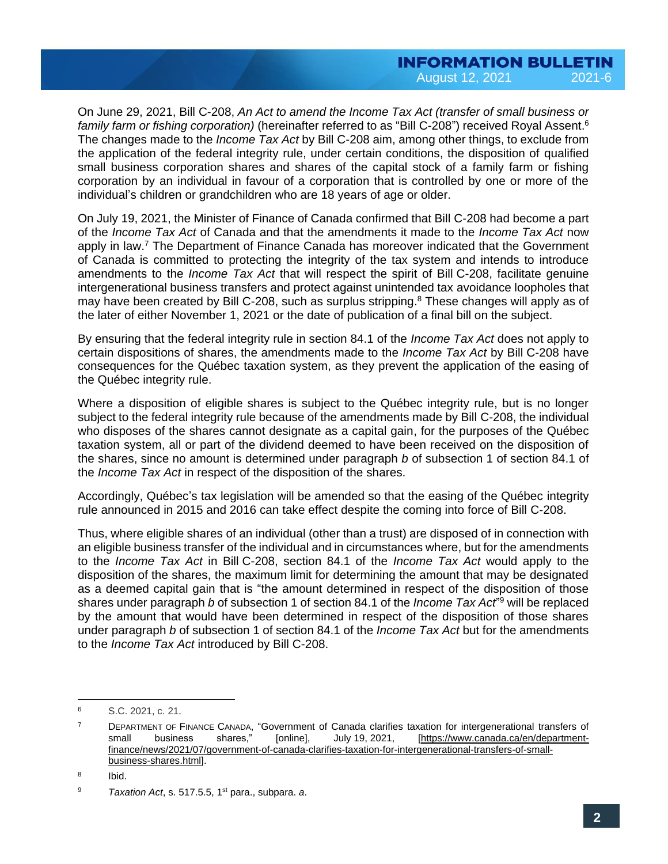On June 29, 2021, Bill C-208, *An Act to amend the Income Tax Act (transfer of small business or family farm or fishing corporation)* (hereinafter referred to as "Bill C-208") received Royal Assent. 6 The changes made to the *Income Tax Act* by Bill C-208 aim, among other things, to exclude from the application of the federal integrity rule, under certain conditions, the disposition of qualified small business corporation shares and shares of the capital stock of a family farm or fishing corporation by an individual in favour of a corporation that is controlled by one or more of the individual's children or grandchildren who are 18 years of age or older.

On July 19, 2021, the Minister of Finance of Canada confirmed that Bill C-208 had become a part of the *Income Tax Act* of Canada and that the amendments it made to the *Income Tax Act* now apply in law. <sup>7</sup> The Department of Finance Canada has moreover indicated that the Government of Canada is committed to protecting the integrity of the tax system and intends to introduce amendments to the *Income Tax Act* that will respect the spirit of Bill C-208, facilitate genuine intergenerational business transfers and protect against unintended tax avoidance loopholes that may have been created by Bill C-208, such as surplus stripping. <sup>8</sup> These changes will apply as of the later of either November 1, 2021 or the date of publication of a final bill on the subject.

By ensuring that the federal integrity rule in section 84.1 of the *Income Tax Act* does not apply to certain dispositions of shares, the amendments made to the *Income Tax Act* by Bill C-208 have consequences for the Québec taxation system, as they prevent the application of the easing of the Québec integrity rule.

Where a disposition of eligible shares is subject to the Québec integrity rule, but is no longer subject to the federal integrity rule because of the amendments made by Bill C-208, the individual who disposes of the shares cannot designate as a capital gain, for the purposes of the Québec taxation system, all or part of the dividend deemed to have been received on the disposition of the shares, since no amount is determined under paragraph *b* of subsection 1 of section 84.1 of the *Income Tax Act* in respect of the disposition of the shares.

Accordingly, Québec's tax legislation will be amended so that the easing of the Québec integrity rule announced in 2015 and 2016 can take effect despite the coming into force of Bill C-208.

Thus, where eligible shares of an individual (other than a trust) are disposed of in connection with an eligible business transfer of the individual and in circumstances where, but for the amendments to the *Income Tax Act* in Bill C-208, section 84.1 of the *Income Tax Act* would apply to the disposition of the shares, the maximum limit for determining the amount that may be designated as a deemed capital gain that is "the amount determined in respect of the disposition of those shares under paragraph *b* of subsection 1 of section 84.1 of the *Income Tax Act*" <sup>9</sup> will be replaced by the amount that would have been determined in respect of the disposition of those shares under paragraph *b* of subsection 1 of section 84.1 of the *Income Tax Act* but for the amendments to the *Income Tax Act* introduced by Bill C-208.

<sup>6</sup> S.C. 2021, c. 21.

<sup>&</sup>lt;sup>7</sup> DEPARTMENT OF FINANCE CANADA, "Government of Canada clarifies taxation for intergenerational transfers of small business shares," [online], July 19, 2021, [\[https://www.canada.ca/en/department](https://www.canada.ca/en/department-finance/news/2021/07/government-of-canada-clarifies-taxation-for-intergenerational-transfers-of-small-business-shares.html)[finance/news/2021/07/government-of-canada-clarifies-taxation-for-intergenerational-transfers-of-small](https://www.canada.ca/en/department-finance/news/2021/07/government-of-canada-clarifies-taxation-for-intergenerational-transfers-of-small-business-shares.html)[business-shares.html\].](https://www.canada.ca/en/department-finance/news/2021/07/government-of-canada-clarifies-taxation-for-intergenerational-transfers-of-small-business-shares.html)

<sup>8</sup> Ibid.

<sup>9</sup> *Taxation Act*, s. 517.5.5, 1st para., subpara. *a*.